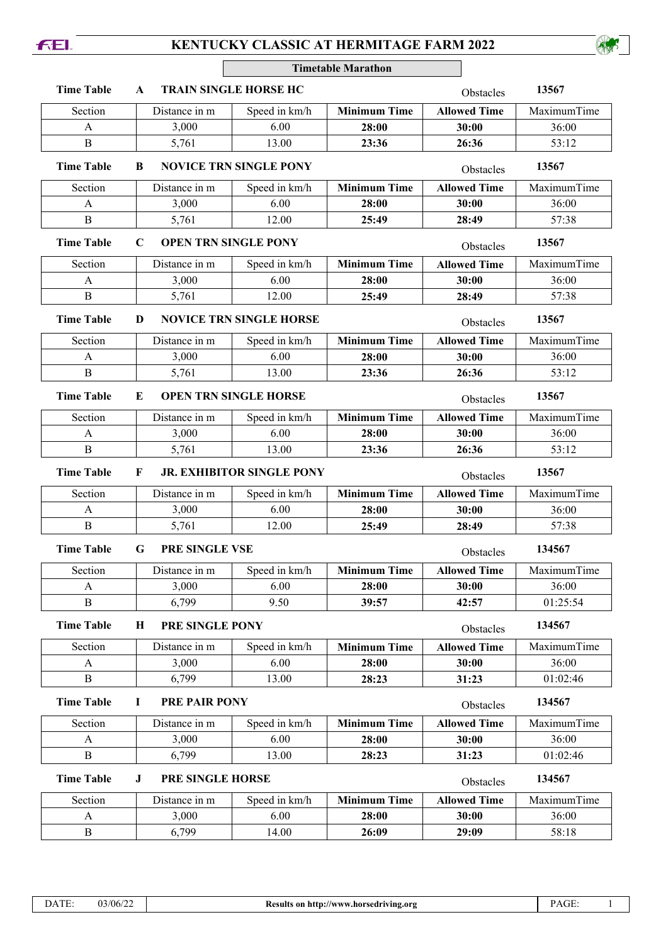## **KENTUCKY CLASSIC AT HERMITAGE FARM 2022**

**FEI.** 

**Timetable Marathon**

| <b>Time Table</b>                       | A                                          | <b>TRAIN SINGLE HORSE HC</b>  | 13567<br>Obstacles  |                     |             |
|-----------------------------------------|--------------------------------------------|-------------------------------|---------------------|---------------------|-------------|
| Section                                 | Distance in m                              | Speed in km/h                 | <b>Minimum Time</b> | <b>Allowed Time</b> | MaximumTime |
| A                                       | 3,000                                      | 6.00                          | 28:00               | 30:00               | 36:00       |
| $\overline{B}$                          | 5,761                                      | 13.00                         | 23:36               | 26:36               | 53:12       |
| <b>Time Table</b>                       | B                                          | <b>NOVICE TRN SINGLE PONY</b> | Obstacles           | 13567               |             |
| Section                                 | Distance in m                              | Speed in km/h                 | <b>Minimum Time</b> | <b>Allowed Time</b> | MaximumTime |
| A                                       | 3,000                                      | 6.00                          | 28:00               | 30:00               | 36:00       |
| $\, {\bf B}$                            | 5,761                                      | 12.00                         | 25:49               | 28:49               | 57:38       |
| <b>Time Table</b>                       | <b>OPEN TRN SINGLE PONY</b><br>$\mathbf C$ |                               | Obstacles           | 13567               |             |
| Section                                 | Distance in m                              | Speed in km/h                 | <b>Minimum Time</b> | <b>Allowed Time</b> | MaximumTime |
| A                                       | 3,000                                      | 6.00                          | 28:00               | 30:00               | 36:00       |
| B                                       | 5,761                                      | 12.00                         | 25:49               | 28:49               | 57:38       |
| <b>Time Table</b>                       | <b>NOVICE TRN SINGLE HORSE</b><br>D        |                               |                     | Obstacles           | 13567       |
| Section                                 | Distance in m                              | Speed in km/h                 | <b>Minimum Time</b> | <b>Allowed Time</b> | MaximumTime |
| A                                       | 3,000                                      | 6.00                          | 28:00               | 30:00               | 36:00       |
| $\boldsymbol{B}$                        | 5,761                                      | 13.00                         | 23:36               | 26:36               | 53:12       |
| <b>Time Table</b>                       | <b>OPEN TRN SINGLE HORSE</b><br>E          | Obstacles                     | 13567               |                     |             |
| Section                                 | Distance in m                              | Speed in km/h                 | <b>Minimum Time</b> | <b>Allowed Time</b> | MaximumTime |
| A                                       | 3,000                                      | 6.00                          | 28:00               | 30:00               | 36:00       |
| $\mathbf B$                             | 5,761                                      | 13.00                         | 23:36               | 26:36               | 53:12       |
| <b>Time Table</b>                       | <b>JR. EXHIBITOR SINGLE PONY</b><br>F      | Obstacles                     | 13567               |                     |             |
| Section                                 | Distance in m                              | Speed in km/h                 | <b>Minimum Time</b> | <b>Allowed Time</b> | MaximumTime |
| A                                       | 3,000                                      | 6.00                          | 28:00               | 30:00               | 36:00       |
| B                                       | 5,761                                      | 12.00                         | 25:49               | 28:49               | 57:38       |
| <b>Time Table</b>                       | G<br><b>PRE SINGLE VSE</b>                 | Obstacles                     | 134567              |                     |             |
| Section                                 | Distance in m                              | Speed in km/h                 | <b>Minimum Time</b> | <b>Allowed Time</b> | MaximumTime |
| A                                       | 3,000                                      | 6.00                          | 28:00               | 30:00               | 36:00       |
| B                                       | 6,799                                      | 9.50                          | 39:57               | 42:57               | 01:25:54    |
| <b>Time Table</b>                       | PRE SINGLE PONY<br>Н                       | Obstacles                     | 134567              |                     |             |
| Section                                 | Distance in m                              | Speed in km/h                 | <b>Minimum Time</b> | <b>Allowed Time</b> | MaximumTime |
| A                                       | 3,000                                      | 6.00                          | 28:00               | 30:00               | 36:00       |
| B                                       | 6,799                                      | 13.00                         | 28:23               | 31:23               | 01:02:46    |
| <b>Time Table</b><br>PRE PAIR PONY<br>н |                                            |                               |                     | Obstacles           | 134567      |
| Section                                 | Distance in m                              | Speed in km/h                 | <b>Minimum Time</b> | <b>Allowed Time</b> | MaximumTime |
| A                                       | 3,000                                      | 6.00                          | 28:00               | 30:00               | 36:00       |
| B                                       | 6,799                                      | 13.00                         | 28:23               | 31:23               | 01:02:46    |
| <b>Time Table</b>                       | PRE SINGLE HORSE<br>J                      | Obstacles                     | 134567              |                     |             |
| Section                                 | Distance in m                              | Speed in km/h                 | <b>Minimum Time</b> | <b>Allowed Time</b> | MaximumTime |
| A                                       | 3,000                                      | 6.00                          | 28:00               | 30:00               | 36:00       |
| B                                       | 6,799                                      | 14.00                         | 26:09               | 29:09               | 58:18       |